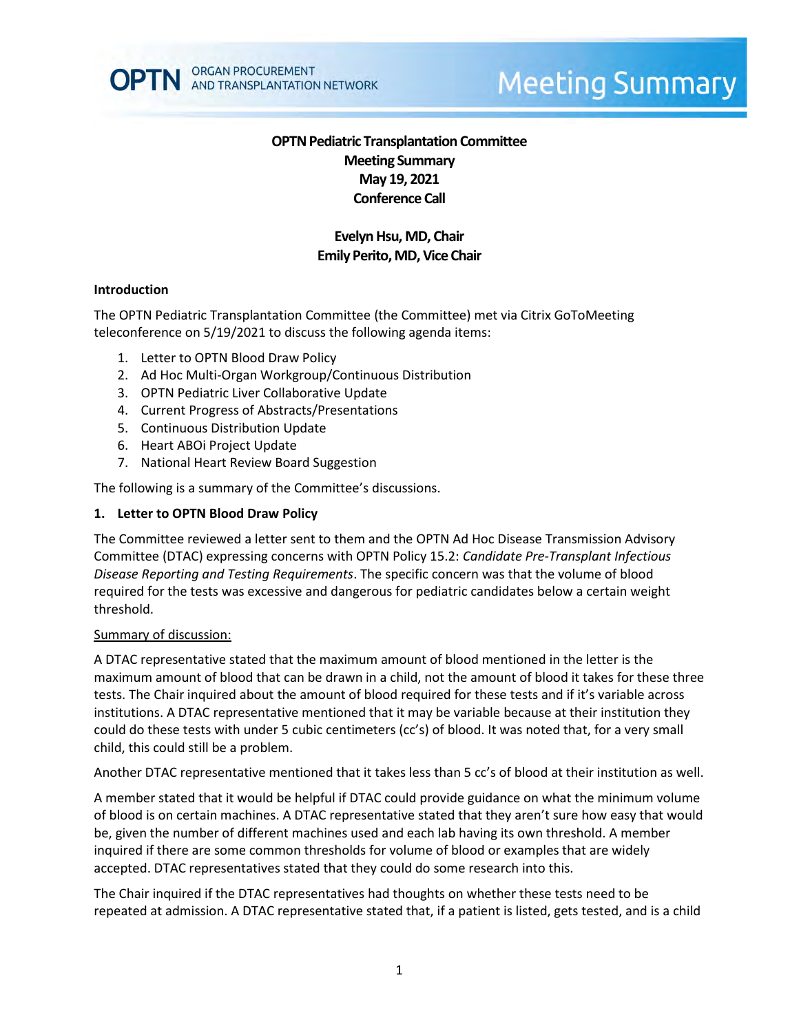

# **Meeting Summary**

# **OPTN Pediatric Transplantation Committee Meeting Summary May 19, 2021 Conference Call**

# **Evelyn Hsu, MD, Chair Emily Perito, MD, Vice Chair**

#### **Introduction**

The OPTN Pediatric Transplantation Committee (the Committee) met via Citrix GoToMeeting teleconference on 5/19/2021 to discuss the following agenda items:

- 1. Letter to OPTN Blood Draw Policy
- 2. Ad Hoc Multi-Organ Workgroup/Continuous Distribution
- 3. OPTN Pediatric Liver Collaborative Update
- 4. Current Progress of Abstracts/Presentations
- 5. Continuous Distribution Update
- 6. Heart ABOi Project Update
- 7. National Heart Review Board Suggestion

The following is a summary of the Committee's discussions.

#### **1. Letter to OPTN Blood Draw Policy**

The Committee reviewed a letter sent to them and the OPTN Ad Hoc Disease Transmission Advisory Committee (DTAC) expressing concerns with OPTN Policy 15.2: *Candidate Pre-Transplant Infectious Disease Reporting and Testing Requirements*. The specific concern was that the volume of blood required for the tests was excessive and dangerous for pediatric candidates below a certain weight threshold.

#### Summary of discussion:

A DTAC representative stated that the maximum amount of blood mentioned in the letter is the maximum amount of blood that can be drawn in a child, not the amount of blood it takes for these three tests. The Chair inquired about the amount of blood required for these tests and if it's variable across institutions. A DTAC representative mentioned that it may be variable because at their institution they could do these tests with under 5 cubic centimeters (cc's) of blood. It was noted that, for a very small child, this could still be a problem.

Another DTAC representative mentioned that it takes less than 5 cc's of blood at their institution as well.

A member stated that it would be helpful if DTAC could provide guidance on what the minimum volume of blood is on certain machines. A DTAC representative stated that they aren't sure how easy that would be, given the number of different machines used and each lab having its own threshold. A member inquired if there are some common thresholds for volume of blood or examples that are widely accepted. DTAC representatives stated that they could do some research into this.

The Chair inquired if the DTAC representatives had thoughts on whether these tests need to be repeated at admission. A DTAC representative stated that, if a patient is listed, gets tested, and is a child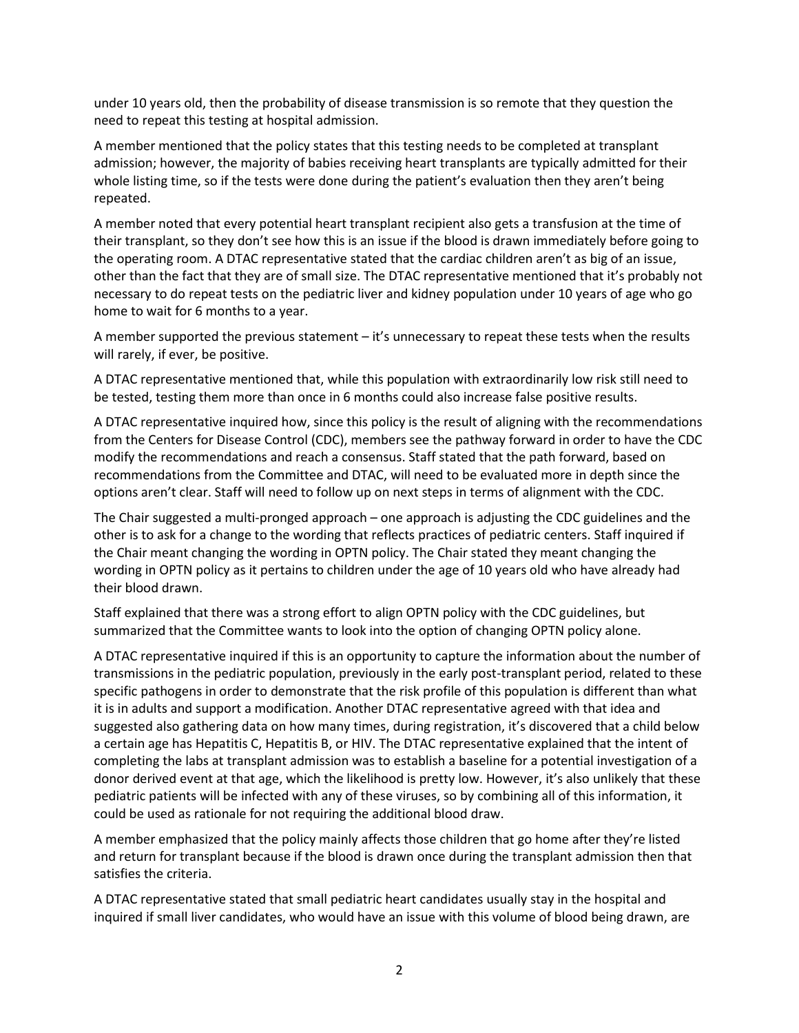under 10 years old, then the probability of disease transmission is so remote that they question the need to repeat this testing at hospital admission.

A member mentioned that the policy states that this testing needs to be completed at transplant admission; however, the majority of babies receiving heart transplants are typically admitted for their whole listing time, so if the tests were done during the patient's evaluation then they aren't being repeated.

A member noted that every potential heart transplant recipient also gets a transfusion at the time of their transplant, so they don't see how this is an issue if the blood is drawn immediately before going to the operating room. A DTAC representative stated that the cardiac children aren't as big of an issue, other than the fact that they are of small size. The DTAC representative mentioned that it's probably not necessary to do repeat tests on the pediatric liver and kidney population under 10 years of age who go home to wait for 6 months to a year.

A member supported the previous statement – it's unnecessary to repeat these tests when the results will rarely, if ever, be positive.

A DTAC representative mentioned that, while this population with extraordinarily low risk still need to be tested, testing them more than once in 6 months could also increase false positive results.

A DTAC representative inquired how, since this policy is the result of aligning with the recommendations from the Centers for Disease Control (CDC), members see the pathway forward in order to have the CDC modify the recommendations and reach a consensus. Staff stated that the path forward, based on recommendations from the Committee and DTAC, will need to be evaluated more in depth since the options aren't clear. Staff will need to follow up on next steps in terms of alignment with the CDC.

The Chair suggested a multi-pronged approach – one approach is adjusting the CDC guidelines and the other is to ask for a change to the wording that reflects practices of pediatric centers. Staff inquired if the Chair meant changing the wording in OPTN policy. The Chair stated they meant changing the wording in OPTN policy as it pertains to children under the age of 10 years old who have already had their blood drawn.

Staff explained that there was a strong effort to align OPTN policy with the CDC guidelines, but summarized that the Committee wants to look into the option of changing OPTN policy alone.

A DTAC representative inquired if this is an opportunity to capture the information about the number of transmissions in the pediatric population, previously in the early post-transplant period, related to these specific pathogens in order to demonstrate that the risk profile of this population is different than what it is in adults and support a modification. Another DTAC representative agreed with that idea and suggested also gathering data on how many times, during registration, it's discovered that a child below a certain age has Hepatitis C, Hepatitis B, or HIV. The DTAC representative explained that the intent of completing the labs at transplant admission was to establish a baseline for a potential investigation of a donor derived event at that age, which the likelihood is pretty low. However, it's also unlikely that these pediatric patients will be infected with any of these viruses, so by combining all of this information, it could be used as rationale for not requiring the additional blood draw.

A member emphasized that the policy mainly affects those children that go home after they're listed and return for transplant because if the blood is drawn once during the transplant admission then that satisfies the criteria.

A DTAC representative stated that small pediatric heart candidates usually stay in the hospital and inquired if small liver candidates, who would have an issue with this volume of blood being drawn, are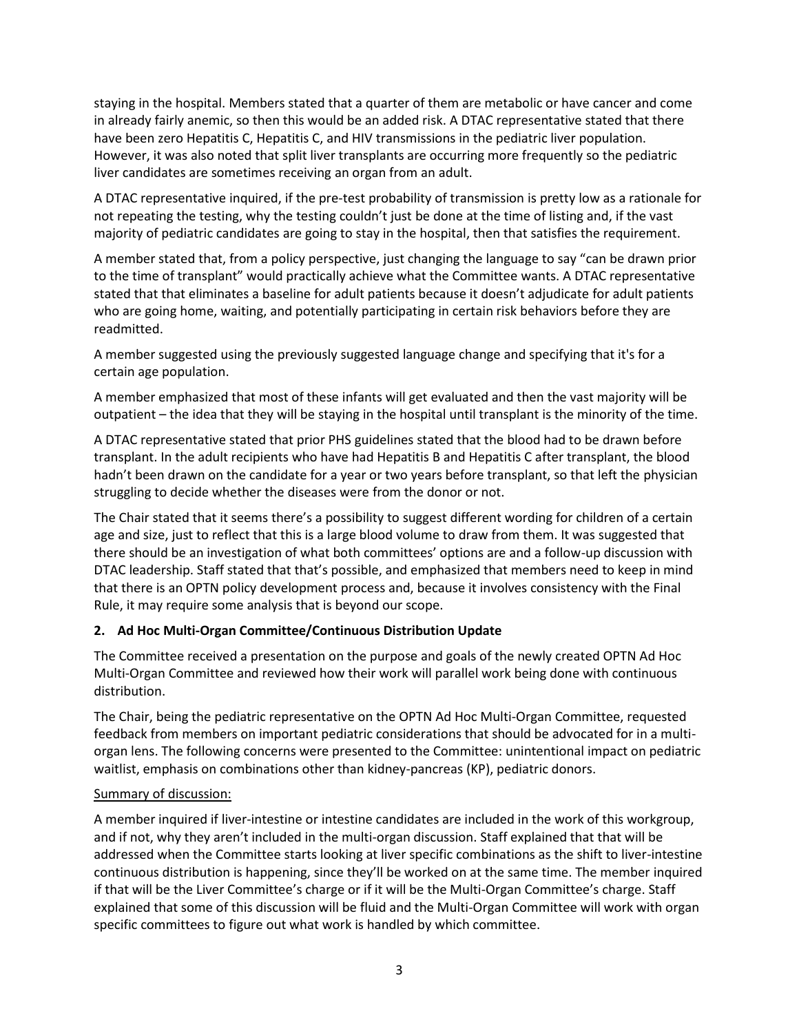staying in the hospital. Members stated that a quarter of them are metabolic or have cancer and come in already fairly anemic, so then this would be an added risk. A DTAC representative stated that there have been zero Hepatitis C, Hepatitis C, and HIV transmissions in the pediatric liver population. However, it was also noted that split liver transplants are occurring more frequently so the pediatric liver candidates are sometimes receiving an organ from an adult.

A DTAC representative inquired, if the pre-test probability of transmission is pretty low as a rationale for not repeating the testing, why the testing couldn't just be done at the time of listing and, if the vast majority of pediatric candidates are going to stay in the hospital, then that satisfies the requirement.

A member stated that, from a policy perspective, just changing the language to say "can be drawn prior to the time of transplant" would practically achieve what the Committee wants. A DTAC representative stated that that eliminates a baseline for adult patients because it doesn't adjudicate for adult patients who are going home, waiting, and potentially participating in certain risk behaviors before they are readmitted.

A member suggested using the previously suggested language change and specifying that it's for a certain age population.

A member emphasized that most of these infants will get evaluated and then the vast majority will be outpatient – the idea that they will be staying in the hospital until transplant is the minority of the time.

A DTAC representative stated that prior PHS guidelines stated that the blood had to be drawn before transplant. In the adult recipients who have had Hepatitis B and Hepatitis C after transplant, the blood hadn't been drawn on the candidate for a year or two years before transplant, so that left the physician struggling to decide whether the diseases were from the donor or not.

The Chair stated that it seems there's a possibility to suggest different wording for children of a certain age and size, just to reflect that this is a large blood volume to draw from them. It was suggested that there should be an investigation of what both committees' options are and a follow-up discussion with DTAC leadership. Staff stated that that's possible, and emphasized that members need to keep in mind that there is an OPTN policy development process and, because it involves consistency with the Final Rule, it may require some analysis that is beyond our scope.

## **2. Ad Hoc Multi-Organ Committee/Continuous Distribution Update**

The Committee received a presentation on the purpose and goals of the newly created OPTN Ad Hoc Multi-Organ Committee and reviewed how their work will parallel work being done with continuous distribution.

The Chair, being the pediatric representative on the OPTN Ad Hoc Multi-Organ Committee, requested feedback from members on important pediatric considerations that should be advocated for in a multiorgan lens. The following concerns were presented to the Committee: unintentional impact on pediatric waitlist, emphasis on combinations other than kidney-pancreas (KP), pediatric donors.

### Summary of discussion:

A member inquired if liver-intestine or intestine candidates are included in the work of this workgroup, and if not, why they aren't included in the multi-organ discussion. Staff explained that that will be addressed when the Committee starts looking at liver specific combinations as the shift to liver-intestine continuous distribution is happening, since they'll be worked on at the same time. The member inquired if that will be the Liver Committee's charge or if it will be the Multi-Organ Committee's charge. Staff explained that some of this discussion will be fluid and the Multi-Organ Committee will work with organ specific committees to figure out what work is handled by which committee.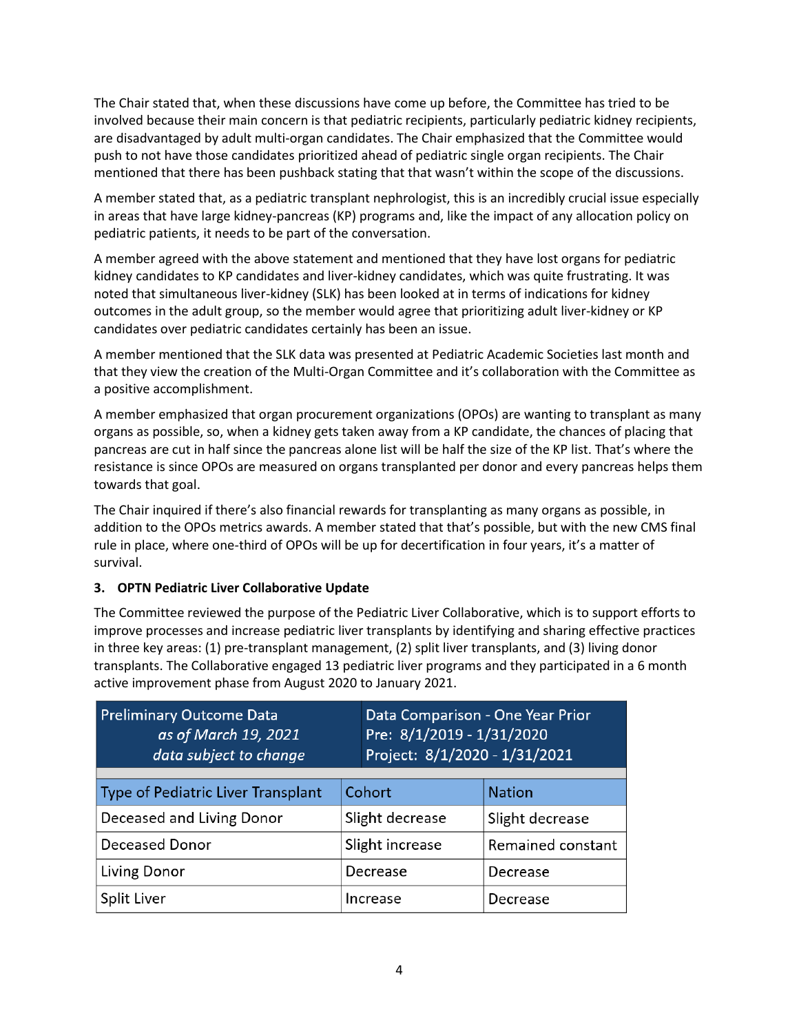The Chair stated that, when these discussions have come up before, the Committee has tried to be involved because their main concern is that pediatric recipients, particularly pediatric kidney recipients, are disadvantaged by adult multi-organ candidates. The Chair emphasized that the Committee would push to not have those candidates prioritized ahead of pediatric single organ recipients. The Chair mentioned that there has been pushback stating that that wasn't within the scope of the discussions.

A member stated that, as a pediatric transplant nephrologist, this is an incredibly crucial issue especially in areas that have large kidney-pancreas (KP) programs and, like the impact of any allocation policy on pediatric patients, it needs to be part of the conversation.

A member agreed with the above statement and mentioned that they have lost organs for pediatric kidney candidates to KP candidates and liver-kidney candidates, which was quite frustrating. It was noted that simultaneous liver-kidney (SLK) has been looked at in terms of indications for kidney outcomes in the adult group, so the member would agree that prioritizing adult liver-kidney or KP candidates over pediatric candidates certainly has been an issue.

A member mentioned that the SLK data was presented at Pediatric Academic Societies last month and that they view the creation of the Multi-Organ Committee and it's collaboration with the Committee as a positive accomplishment.

A member emphasized that organ procurement organizations (OPOs) are wanting to transplant as many organs as possible, so, when a kidney gets taken away from a KP candidate, the chances of placing that pancreas are cut in half since the pancreas alone list will be half the size of the KP list. That's where the resistance is since OPOs are measured on organs transplanted per donor and every pancreas helps them towards that goal.

The Chair inquired if there's also financial rewards for transplanting as many organs as possible, in addition to the OPOs metrics awards. A member stated that that's possible, but with the new CMS final rule in place, where one-third of OPOs will be up for decertification in four years, it's a matter of survival.

## **3. OPTN Pediatric Liver Collaborative Update**

The Committee reviewed the purpose of the Pediatric Liver Collaborative, which is to support efforts to improve processes and increase pediatric liver transplants by identifying and sharing effective practices in three key areas: (1) pre-transplant management, (2) split liver transplants, and (3) living donor transplants. The Collaborative engaged 13 pediatric liver programs and they participated in a 6 month active improvement phase from August 2020 to January 2021.

| <b>Preliminary Outcome Data</b><br>as of March 19, 2021<br>data subject to change |                 | Data Comparison - One Year Prior<br>Pre: 8/1/2019 - 1/31/2020<br>Project: 8/1/2020 - 1/31/2021 |                   |
|-----------------------------------------------------------------------------------|-----------------|------------------------------------------------------------------------------------------------|-------------------|
| Type of Pediatric Liver Transplant                                                | Cohort          |                                                                                                | <b>Nation</b>     |
| Deceased and Living Donor                                                         | Slight decrease |                                                                                                | Slight decrease   |
| Deceased Donor                                                                    | Slight increase |                                                                                                | Remained constant |
| Living Donor                                                                      | Decrease        |                                                                                                | Decrease          |
| Split Liver                                                                       | Increase        |                                                                                                | Decrease          |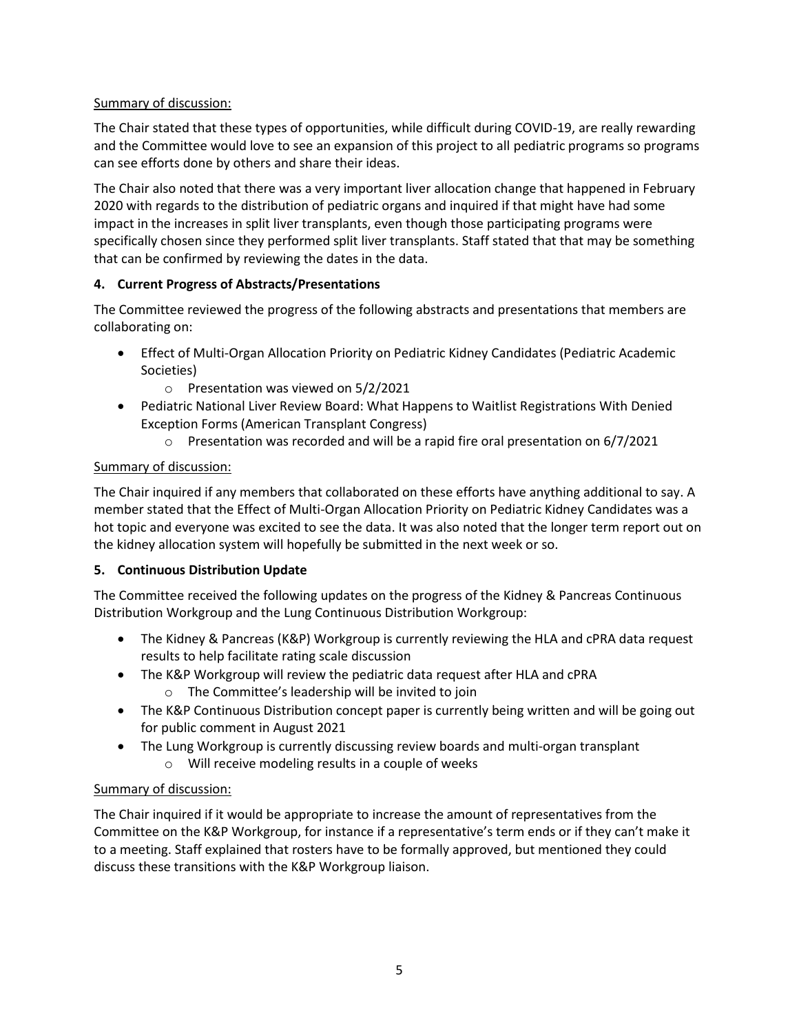## Summary of discussion:

The Chair stated that these types of opportunities, while difficult during COVID-19, are really rewarding and the Committee would love to see an expansion of this project to all pediatric programs so programs can see efforts done by others and share their ideas.

The Chair also noted that there was a very important liver allocation change that happened in February 2020 with regards to the distribution of pediatric organs and inquired if that might have had some impact in the increases in split liver transplants, even though those participating programs were specifically chosen since they performed split liver transplants. Staff stated that that may be something that can be confirmed by reviewing the dates in the data.

## **4. Current Progress of Abstracts/Presentations**

The Committee reviewed the progress of the following abstracts and presentations that members are collaborating on:

- Effect of Multi-Organ Allocation Priority on Pediatric Kidney Candidates (Pediatric Academic Societies)
	- o Presentation was viewed on 5/2/2021
- Pediatric National Liver Review Board: What Happens to Waitlist Registrations With Denied Exception Forms (American Transplant Congress)
	- o Presentation was recorded and will be a rapid fire oral presentation on 6/7/2021

# Summary of discussion:

The Chair inquired if any members that collaborated on these efforts have anything additional to say. A member stated that the Effect of Multi-Organ Allocation Priority on Pediatric Kidney Candidates was a hot topic and everyone was excited to see the data. It was also noted that the longer term report out on the kidney allocation system will hopefully be submitted in the next week or so.

## **5. Continuous Distribution Update**

The Committee received the following updates on the progress of the Kidney & Pancreas Continuous Distribution Workgroup and the Lung Continuous Distribution Workgroup:

- The Kidney & Pancreas (K&P) Workgroup is currently reviewing the HLA and cPRA data request results to help facilitate rating scale discussion
- The K&P Workgroup will review the pediatric data request after HLA and cPRA o The Committee's leadership will be invited to join
- The K&P Continuous Distribution concept paper is currently being written and will be going out for public comment in August 2021
- The Lung Workgroup is currently discussing review boards and multi-organ transplant
	- o Will receive modeling results in a couple of weeks

## Summary of discussion:

The Chair inquired if it would be appropriate to increase the amount of representatives from the Committee on the K&P Workgroup, for instance if a representative's term ends or if they can't make it to a meeting. Staff explained that rosters have to be formally approved, but mentioned they could discuss these transitions with the K&P Workgroup liaison.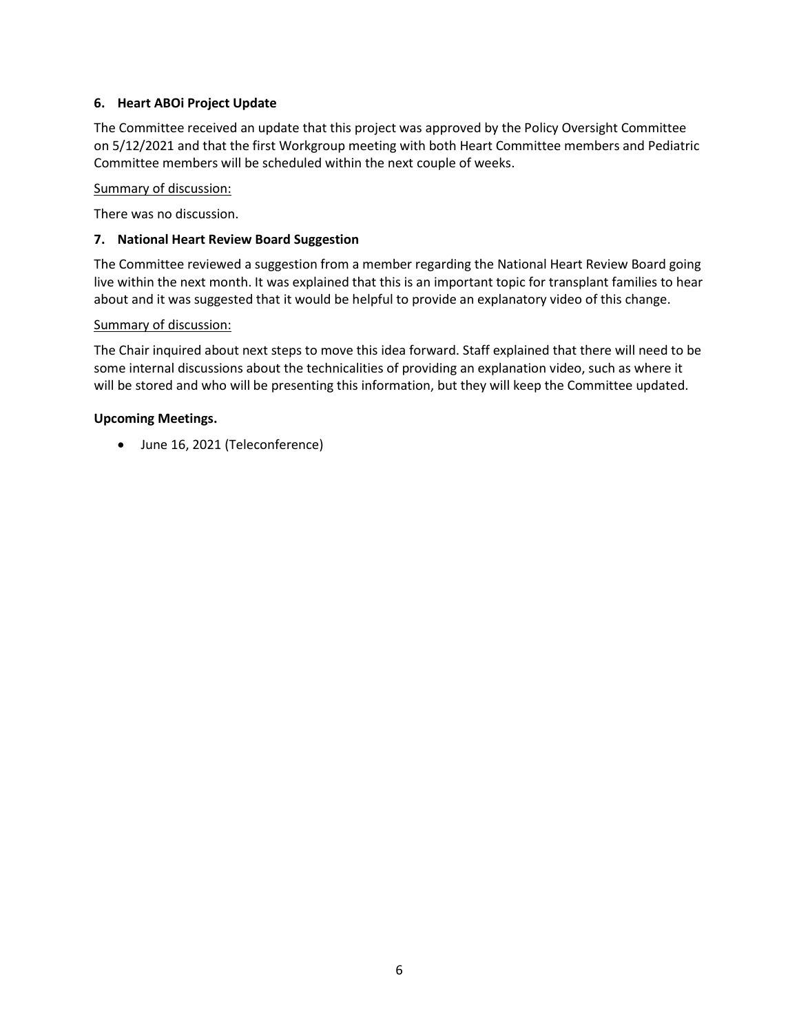## **6. Heart ABOi Project Update**

The Committee received an update that this project was approved by the Policy Oversight Committee on 5/12/2021 and that the first Workgroup meeting with both Heart Committee members and Pediatric Committee members will be scheduled within the next couple of weeks.

### Summary of discussion:

There was no discussion.

### **7. National Heart Review Board Suggestion**

The Committee reviewed a suggestion from a member regarding the National Heart Review Board going live within the next month. It was explained that this is an important topic for transplant families to hear about and it was suggested that it would be helpful to provide an explanatory video of this change.

#### Summary of discussion:

The Chair inquired about next steps to move this idea forward. Staff explained that there will need to be some internal discussions about the technicalities of providing an explanation video, such as where it will be stored and who will be presenting this information, but they will keep the Committee updated.

#### **Upcoming Meetings.**

June 16, 2021 (Teleconference)